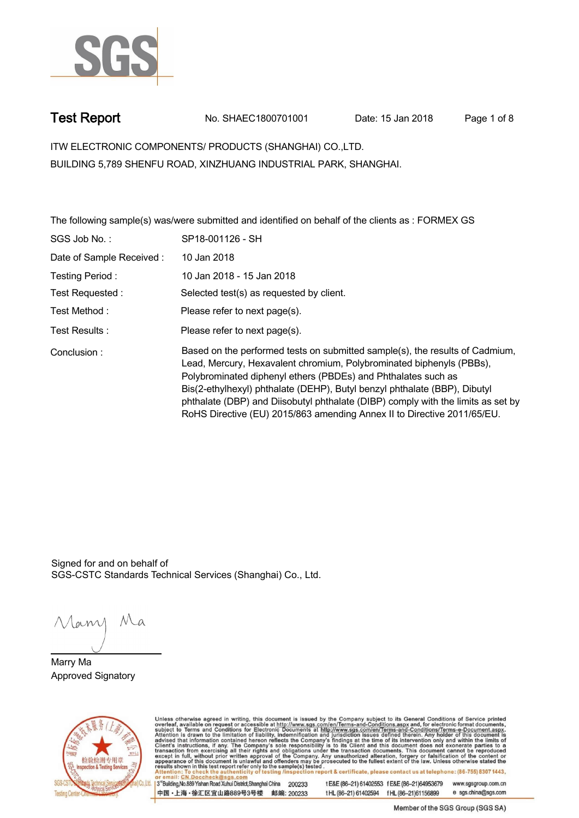

**Test Report. No. SHAEC1800701001 Date: 15 Jan 2018. Page 1 of 8.**

**ITW ELECTRONIC COMPONENTS/ PRODUCTS (SHANGHAI) CO.,LTD. . BUILDING 5,789 SHENFU ROAD, XINZHUANG INDUSTRIAL PARK, SHANGHAI.**

**The following sample(s) was/were submitted and identified on behalf of the clients as : FORMEX GS .**

| SGS Job No.:             | SP18-001126 - SH                                                                                                                                                                                                                                                                                                                                                                                                                                                  |
|--------------------------|-------------------------------------------------------------------------------------------------------------------------------------------------------------------------------------------------------------------------------------------------------------------------------------------------------------------------------------------------------------------------------------------------------------------------------------------------------------------|
| Date of Sample Received: | 10 Jan 2018                                                                                                                                                                                                                                                                                                                                                                                                                                                       |
| Testing Period:          | 10 Jan 2018 - 15 Jan 2018                                                                                                                                                                                                                                                                                                                                                                                                                                         |
| Test Requested :         | Selected test(s) as requested by client.                                                                                                                                                                                                                                                                                                                                                                                                                          |
| Test Method :            | Please refer to next page(s).                                                                                                                                                                                                                                                                                                                                                                                                                                     |
| Test Results:            | Please refer to next page(s).                                                                                                                                                                                                                                                                                                                                                                                                                                     |
| Conclusion:              | Based on the performed tests on submitted sample(s), the results of Cadmium,<br>Lead, Mercury, Hexavalent chromium, Polybrominated biphenyls (PBBs),<br>Polybrominated diphenyl ethers (PBDEs) and Phthalates such as<br>Bis(2-ethylhexyl) phthalate (DEHP), Butyl benzyl phthalate (BBP), Dibutyl<br>phthalate (DBP) and Diisobutyl phthalate (DIBP) comply with the limits as set by<br>RoHS Directive (EU) 2015/863 amending Annex II to Directive 2011/65/EU. |

Signed for and on behalf of SGS-CSTC Standards Technical Services (Shanghai) Co., Ltd..

Many Ma

**Marry Ma. Approved Signatory .**



Unless otherwise agreed in writing, this document is issued by the Company subject to its General Conditions of Service printed overleaf, available on request or accessible at http://www.sgs.com/en/Terms-and-Conditions.asp

3<sup>rd</sup>Building, No.889 Yishan Road Xuhui District, Shanghai China 200233 中国·上海·徐汇区宜山路889号3号楼 邮编: 200233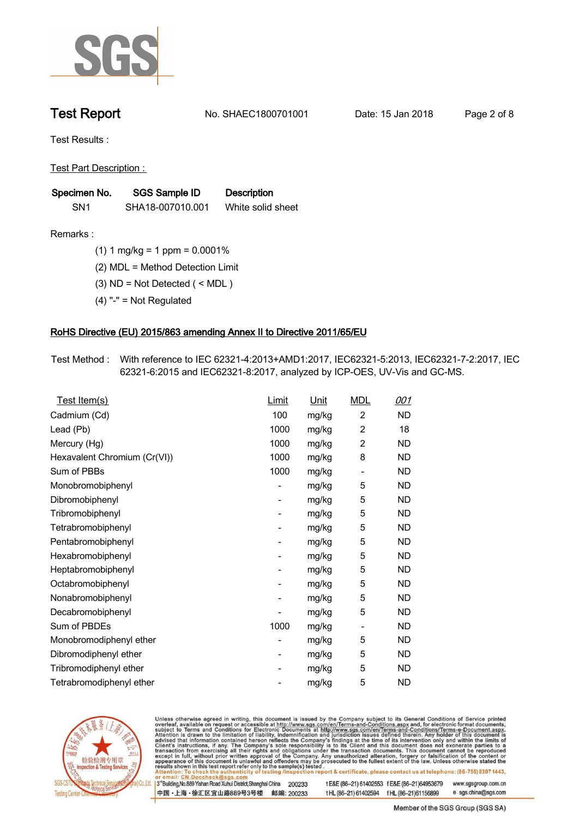

**Test Report. No. SHAEC1800701001 Date: 15 Jan 2018. Page 2 of 8.**

**Test Results :.**

**Test Part Description : .**

| Specimen No.    | SGS Sample ID    | <b>Description</b> |  |
|-----------------|------------------|--------------------|--|
| SN <sub>1</sub> | SHA18-007010.001 | White solid sheet  |  |

- **Remarks :.(1) 1 mg/kg = 1 ppm = 0.0001% .**
	- **(2) MDL = Method Detection Limit .**
	- **(3) ND = Not Detected ( < MDL ) .**
	- **(4) "-" = Not Regulated .**

## **RoHS Directive (EU) 2015/863 amending Annex II to Directive 2011/65/EU.**

**Test Method :. With reference to IEC 62321-4:2013+AMD1:2017, IEC62321-5:2013, IEC62321-7-2:2017, IEC 62321-6:2015 and IEC62321-8:2017, analyzed by ICP-OES, UV-Vis and GC-MS. .**

| $\overline{c}$<br>Cadmium (Cd)<br>100<br>ND<br>mg/kg<br>$\overline{c}$<br>Lead (Pb)<br>1000<br>18<br>mg/kg<br>$\overline{c}$<br>1000<br>ND<br>Mercury (Hg)<br>mg/kg<br>1000<br>8<br>Hexavalent Chromium (Cr(VI))<br>ND<br>mg/kg<br>Sum of PBBs<br>1000<br>mg/kg<br>ND<br>$\overline{\phantom{a}}$<br>5<br>ND<br>Monobromobiphenyl<br>mg/kg<br>-<br>Dibromobiphenyl<br>5<br><b>ND</b><br>mg/kg<br>$\overline{\phantom{0}}$<br>Tribromobiphenyl<br>5<br><b>ND</b><br>mg/kg<br>$\overline{\phantom{0}}$<br>5<br>Tetrabromobiphenyl<br>ND<br>mg/kg<br>-<br>5<br>ND<br>Pentabromobiphenyl<br>mg/kg<br>$\overline{\phantom{0}}$<br>5<br>Hexabromobiphenyl<br>ND<br>mg/kg<br>-<br>5<br><b>ND</b><br>Heptabromobiphenyl<br>mg/kg<br>$\overline{\phantom{0}}$<br>5<br><b>ND</b><br>Octabromobiphenyl<br>mg/kg<br>-<br>5<br>ND<br>Nonabromobiphenyl<br>mg/kg<br>-<br>5<br><b>ND</b><br>Decabromobiphenyl<br>mg/kg<br>-<br>Sum of PBDEs<br>1000<br>ND<br>mg/kg<br>-<br>Monobromodiphenyl ether<br>5<br>ND<br>mg/kg<br>-<br>5<br><b>ND</b><br>Dibromodiphenyl ether<br>mg/kg<br>۰<br>5<br>Tribromodiphenyl ether<br>ND<br>mg/kg<br>-<br>5<br><b>ND</b><br>Tetrabromodiphenyl ether<br>mg/kg | <u>Test Item(s)</u> | <b>Limit</b> | <u>Unit</u> | <b>MDL</b> | <u>001</u> |
|---------------------------------------------------------------------------------------------------------------------------------------------------------------------------------------------------------------------------------------------------------------------------------------------------------------------------------------------------------------------------------------------------------------------------------------------------------------------------------------------------------------------------------------------------------------------------------------------------------------------------------------------------------------------------------------------------------------------------------------------------------------------------------------------------------------------------------------------------------------------------------------------------------------------------------------------------------------------------------------------------------------------------------------------------------------------------------------------------------------------------------------------------------------------------------|---------------------|--------------|-------------|------------|------------|
|                                                                                                                                                                                                                                                                                                                                                                                                                                                                                                                                                                                                                                                                                                                                                                                                                                                                                                                                                                                                                                                                                                                                                                                 |                     |              |             |            |            |
|                                                                                                                                                                                                                                                                                                                                                                                                                                                                                                                                                                                                                                                                                                                                                                                                                                                                                                                                                                                                                                                                                                                                                                                 |                     |              |             |            |            |
|                                                                                                                                                                                                                                                                                                                                                                                                                                                                                                                                                                                                                                                                                                                                                                                                                                                                                                                                                                                                                                                                                                                                                                                 |                     |              |             |            |            |
|                                                                                                                                                                                                                                                                                                                                                                                                                                                                                                                                                                                                                                                                                                                                                                                                                                                                                                                                                                                                                                                                                                                                                                                 |                     |              |             |            |            |
|                                                                                                                                                                                                                                                                                                                                                                                                                                                                                                                                                                                                                                                                                                                                                                                                                                                                                                                                                                                                                                                                                                                                                                                 |                     |              |             |            |            |
|                                                                                                                                                                                                                                                                                                                                                                                                                                                                                                                                                                                                                                                                                                                                                                                                                                                                                                                                                                                                                                                                                                                                                                                 |                     |              |             |            |            |
|                                                                                                                                                                                                                                                                                                                                                                                                                                                                                                                                                                                                                                                                                                                                                                                                                                                                                                                                                                                                                                                                                                                                                                                 |                     |              |             |            |            |
|                                                                                                                                                                                                                                                                                                                                                                                                                                                                                                                                                                                                                                                                                                                                                                                                                                                                                                                                                                                                                                                                                                                                                                                 |                     |              |             |            |            |
|                                                                                                                                                                                                                                                                                                                                                                                                                                                                                                                                                                                                                                                                                                                                                                                                                                                                                                                                                                                                                                                                                                                                                                                 |                     |              |             |            |            |
|                                                                                                                                                                                                                                                                                                                                                                                                                                                                                                                                                                                                                                                                                                                                                                                                                                                                                                                                                                                                                                                                                                                                                                                 |                     |              |             |            |            |
|                                                                                                                                                                                                                                                                                                                                                                                                                                                                                                                                                                                                                                                                                                                                                                                                                                                                                                                                                                                                                                                                                                                                                                                 |                     |              |             |            |            |
|                                                                                                                                                                                                                                                                                                                                                                                                                                                                                                                                                                                                                                                                                                                                                                                                                                                                                                                                                                                                                                                                                                                                                                                 |                     |              |             |            |            |
|                                                                                                                                                                                                                                                                                                                                                                                                                                                                                                                                                                                                                                                                                                                                                                                                                                                                                                                                                                                                                                                                                                                                                                                 |                     |              |             |            |            |
|                                                                                                                                                                                                                                                                                                                                                                                                                                                                                                                                                                                                                                                                                                                                                                                                                                                                                                                                                                                                                                                                                                                                                                                 |                     |              |             |            |            |
|                                                                                                                                                                                                                                                                                                                                                                                                                                                                                                                                                                                                                                                                                                                                                                                                                                                                                                                                                                                                                                                                                                                                                                                 |                     |              |             |            |            |
|                                                                                                                                                                                                                                                                                                                                                                                                                                                                                                                                                                                                                                                                                                                                                                                                                                                                                                                                                                                                                                                                                                                                                                                 |                     |              |             |            |            |
|                                                                                                                                                                                                                                                                                                                                                                                                                                                                                                                                                                                                                                                                                                                                                                                                                                                                                                                                                                                                                                                                                                                                                                                 |                     |              |             |            |            |
|                                                                                                                                                                                                                                                                                                                                                                                                                                                                                                                                                                                                                                                                                                                                                                                                                                                                                                                                                                                                                                                                                                                                                                                 |                     |              |             |            |            |
|                                                                                                                                                                                                                                                                                                                                                                                                                                                                                                                                                                                                                                                                                                                                                                                                                                                                                                                                                                                                                                                                                                                                                                                 |                     |              |             |            |            |
|                                                                                                                                                                                                                                                                                                                                                                                                                                                                                                                                                                                                                                                                                                                                                                                                                                                                                                                                                                                                                                                                                                                                                                                 |                     |              |             |            |            |



Unless otherwise agreed in writing, this document is issued by the Company subject to its General Conditions of Service printed overleaf, available on request or accessible at http://www.sgs.com/en/Terms-and-Conditions.asp

3<sup>rd</sup>Building, No.889 Yishan Road Xuhui District, Shanghai China 200233 中国·上海·徐汇区宜山路889号3号楼 邮编: 200233 t E&E (86-21) 61402553 f E&E (86-21)64953679 www.sgsgroup.com.cn

t HL (86-21) 61402594 f HL (86-21) 61156899 e sgs.china@sgs.com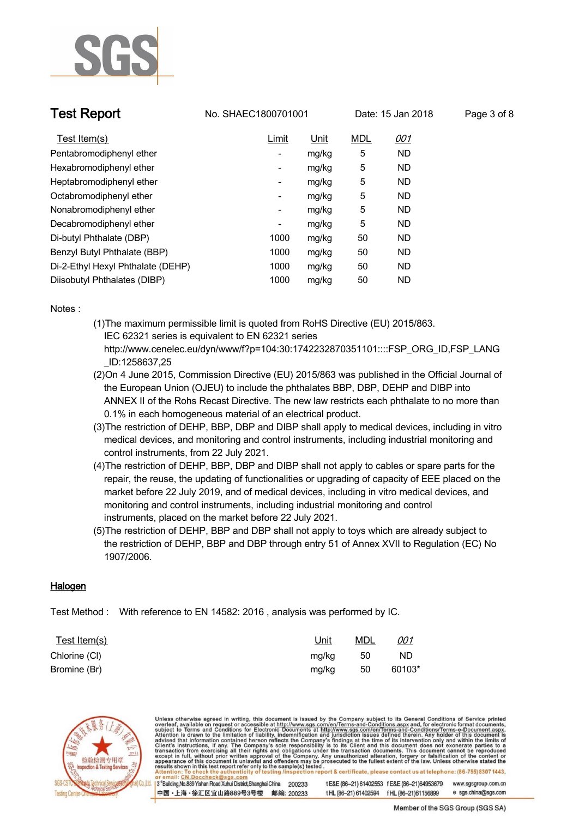

**Test Report No. SHAEC1800701001** Date: 15 Jan 2018 Page 3 of 8

| Test Item(s)                      | Limit | Unit  | <b>MDL</b> | <u>001</u> |
|-----------------------------------|-------|-------|------------|------------|
| Pentabromodiphenyl ether          | -     | mg/kg | 5          | <b>ND</b>  |
| Hexabromodiphenyl ether           | ۰     | mg/kg | 5          | <b>ND</b>  |
| Heptabromodiphenyl ether          | ۰     | mg/kg | 5          | <b>ND</b>  |
| Octabromodiphenyl ether           | ۰     | mg/kg | 5          | <b>ND</b>  |
| Nonabromodiphenyl ether           | ۰     | mg/kg | 5          | <b>ND</b>  |
| Decabromodiphenyl ether           | ۰     | mg/kg | 5          | <b>ND</b>  |
| Di-butyl Phthalate (DBP)          | 1000  | mg/kg | 50         | <b>ND</b>  |
| Benzyl Butyl Phthalate (BBP)      | 1000  | mg/kg | 50         | <b>ND</b>  |
| Di-2-Ethyl Hexyl Phthalate (DEHP) | 1000  | mg/kg | 50         | <b>ND</b>  |
| Diisobutyl Phthalates (DIBP)      | 1000  | mg/kg | 50         | <b>ND</b>  |

**Notes :.**

- **(1)The maximum permissible limit is quoted from RoHS Directive (EU) 2015/863. IEC 62321 series is equivalent to EN 62321 series http://www.cenelec.eu/dyn/www/f?p=104:30:1742232870351101::::FSP\_ORG\_ID,FSP\_LANG**
	- **\_ID:1258637,25**
- **(2)On 4 June 2015, Commission Directive (EU) 2015/863 was published in the Official Journal of the European Union (OJEU) to include the phthalates BBP, DBP, DEHP and DIBP into ANNEX II of the Rohs Recast Directive. The new law restricts each phthalate to no more than 0.1% in each homogeneous material of an electrical product.**
- **(3)The restriction of DEHP, BBP, DBP and DIBP shall apply to medical devices, including in vitro medical devices, and monitoring and control instruments, including industrial monitoring and control instruments, from 22 July 2021.**
- **(4)The restriction of DEHP, BBP, DBP and DIBP shall not apply to cables or spare parts for the repair, the reuse, the updating of functionalities or upgrading of capacity of EEE placed on the market before 22 July 2019, and of medical devices, including in vitro medical devices, and monitoring and control instruments, including industrial monitoring and control instruments, placed on the market before 22 July 2021.**
- **(5)The restriction of DEHP, BBP and DBP shall not apply to toys which are already subject to the restriction of DEHP, BBP and DBP through entry 51 of Annex XVII to Regulation (EC) No 1907/2006..**

## **Halogen.**

**Test Method :. With reference to EN 14582: 2016 , analysis was performed by IC. .**

| Test Item(s)  | <u>Unit</u> | <b>MDL</b> | <u>001</u> |
|---------------|-------------|------------|------------|
| Chlorine (CI) | mg/kg       | 50         | <b>ND</b>  |
| Bromine (Br)  | mg/kg       | 50         | 60103*     |



Unless otherwise agreed in writing, this document is issued by the Company subject to its General Conditions of Service printed<br>overleaf, available on request or accessible at http://www.sgs.com/en/Terms-and-Conditions.asp on report & certificate, please contact us at telephone: (86-755) 8307 1443, esting /ins 3<sup>rd</sup>Building, No.889 Yishan Road Xuhui District, Shanghai China 200233 t E&E (86-21) 61402553 f E&E (86-21)64953679 www.sgsgroup.com.cn 中国·上海·徐汇区宜山路889号3号楼 邮编: 200233 e sgs.china@sgs.com

tHL (86-21) 61402594 fHL (86-21) 61156899

Member of the SGS Group (SGS SA)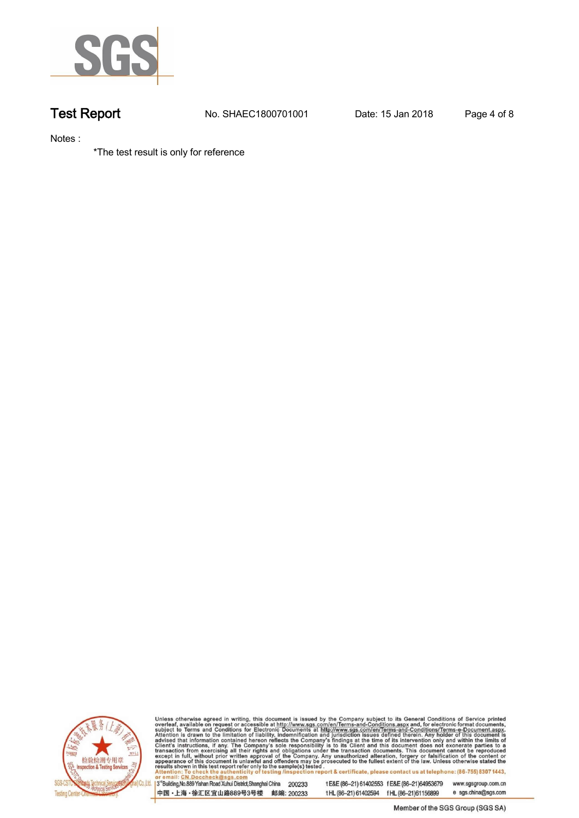

**Test Report. No. SHAEC1800701001 Date: 15 Jan 2018. Page 4 of 8.**

**Notes :.**

**\*The test result is only for reference .**



Unless otherwise agreed in writing, this document is issued by the Company subject to its General Conditions of Service printed overleaf, available on request or accessible at http://www.sgs.com/en/Terms-and-Conditions.asp

3<sup>rd</sup> Building, No.889 Yishan Road Xuhui District, Shanghai China 200233 中国·上海·徐汇区宜山路889号3号楼 邮编: 200233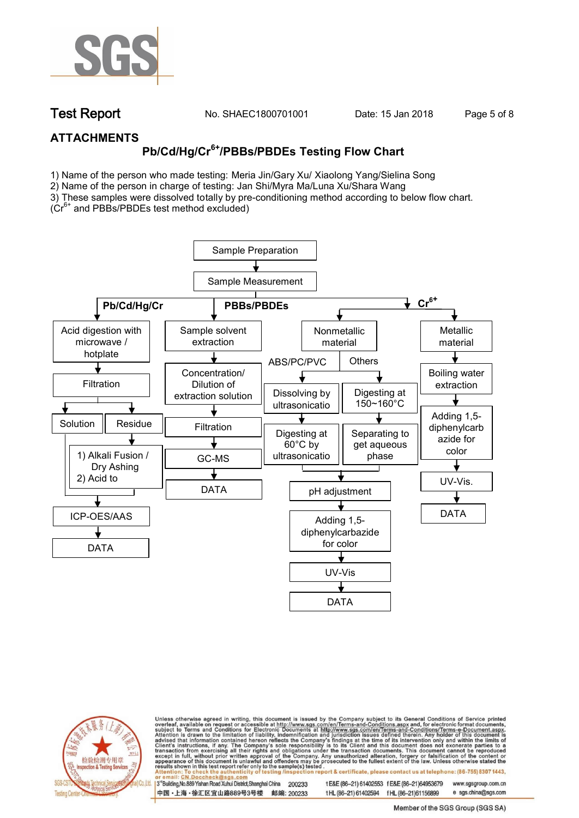

**Test Report. No. SHAEC1800701001 Date: 15 Jan 2018. Page 5 of 8.**

## **ATTACHMENTS**

# **Pb/Cd/Hg/Cr6+/PBBs/PBDEs Testing Flow Chart**

1) Name of the person who made testing: Meria Jin/Gary Xu/ Xiaolong Yang/Sielina Song

2) Name of the person in charge of testing: Jan Shi/Myra Ma/Luna Xu/Shara Wang

3) These samples were dissolved totally by pre-conditioning method according to below flow chart.

(Cr6+ and PBBs/PBDEs test method excluded)





Unless otherwise agreed in writing, this document is issued by the Company subject to its General Conditions of Service printed overleaf, available on request or accessible at http://www.sgs.com/en/Terms-and-Conditions.asp on report & certificate, please contact us at telephone: (86-755) 8307 1443, esting /ins

13<sup>rd</sup> Building, No.889 Yishan Road Xuhui District, Shanghai China 200233 中国·上海·徐汇区宜山路889号3号楼 邮编: 200233 tE&E (86-21) 61402553 fE&E (86-21)64953679 www.sgsgroup.com.cn

t HL (86-21) 61402594 f HL (86-21)61156899 e sgs.china@sgs.com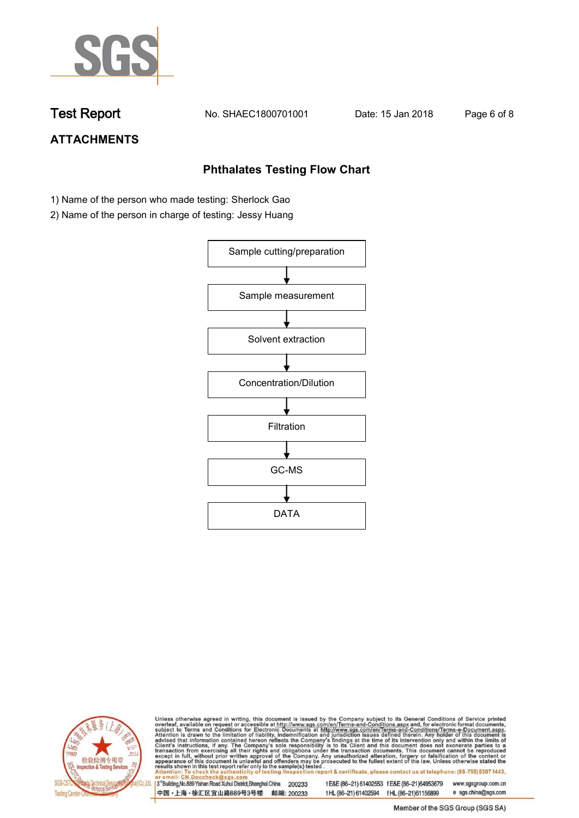

**Test Report. No. SHAEC1800701001 Date: 15 Jan 2018. Page 6 of 8.**

# **ATTACHMENTS**

## **Phthalates Testing Flow Chart**

- 1) Name of the person who made testing: Sherlock Gao
- 2) Name of the person in charge of testing: Jessy Huang





Unless otherwise agreed in writing, this document is issued by the Company subject to its General Conditions of Service printed overleaf, available on request or accessible at http://www.sgs.com/en/Terms-and-Conditions.asp

3<sup>rd</sup>Building, No.889 Yishan Road Xuhui District, Shanghai China 200233 中国·上海·徐汇区宜山路889号3号楼 邮编: 200233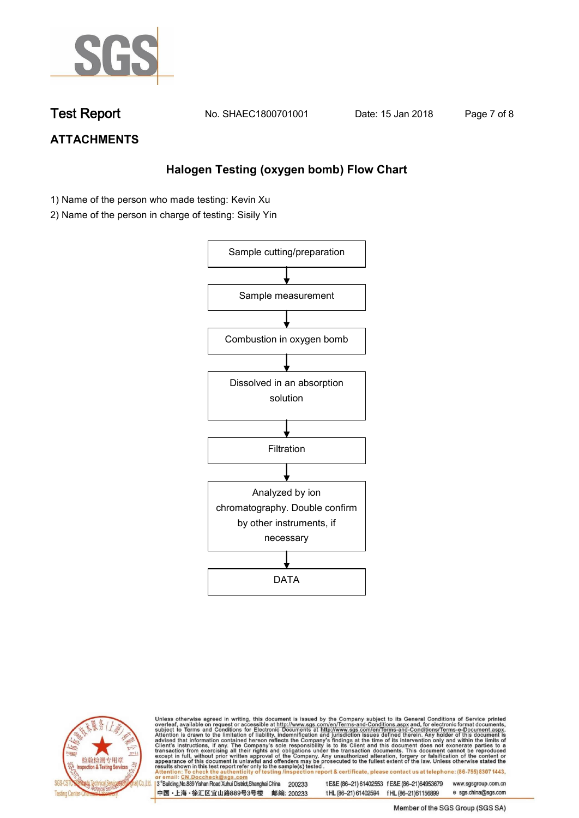

**Test Report. No. SHAEC1800701001 Date: 15 Jan 2018. Page 7 of 8.**

## **ATTACHMENTS**

## **Halogen Testing (oxygen bomb) Flow Chart**

- 1) Name of the person who made testing: Kevin Xu
- 2) Name of the person in charge of testing: Sisily Yin





Unless otherwise agreed in writing, this document is issued by the Company subject to its General Conditions of Service printed overleaf, available on request or accessible at http://www.sgs.com/en/Terms-and-Conditions.asp

3<sup>rd</sup>Building, No.889 Yishan Road Xuhui District, Shanghai China 200233 中国·上海·徐汇区宜山路889号3号楼 邮编: 200233